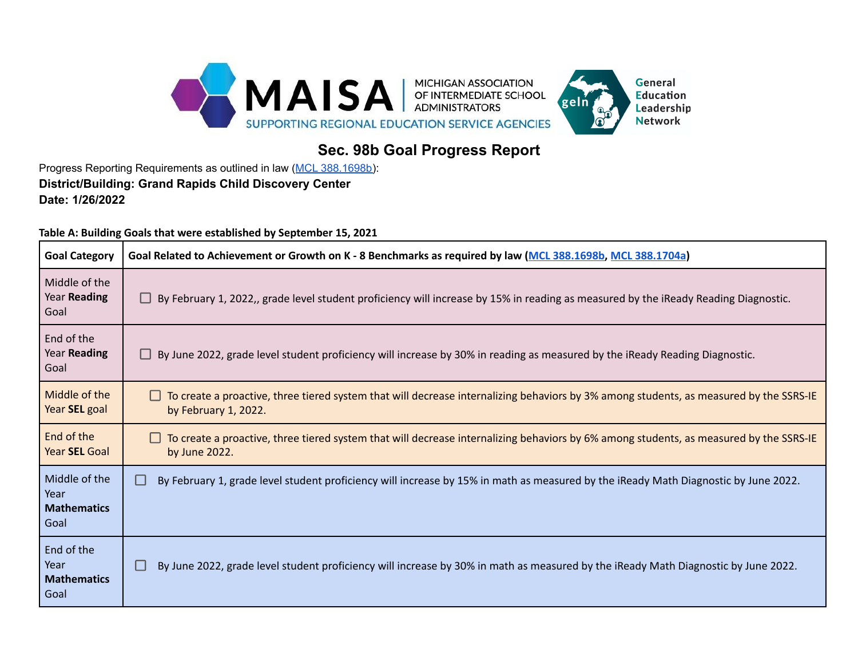

## **Sec. 98b Goal Progress Report**

Progress Reporting Requirements as outlined in law (MCL [388.1698b\)](https://www.legislature.mi.gov/(S(q30v15slt0kw1v1gy5f40uik))/mileg.aspx?page=getObject&objectName=mcl-388-1698b-added): **District/Building: Grand Rapids Child Discovery Center Date: 1/26/2022**

**Table A: Building Goals that were established by September 15, 2021**

| <b>Goal Category</b>                                | Goal Related to Achievement or Growth on K - 8 Benchmarks as required by law (MCL 388.1698b, MCL 388.1704a)                                                    |  |  |  |  |  |  |
|-----------------------------------------------------|----------------------------------------------------------------------------------------------------------------------------------------------------------------|--|--|--|--|--|--|
| Middle of the<br>Year Reading<br>Goal               | By February 1, 2022,, grade level student proficiency will increase by 15% in reading as measured by the iReady Reading Diagnostic.                            |  |  |  |  |  |  |
| End of the<br>Year Reading<br>Goal                  | By June 2022, grade level student proficiency will increase by 30% in reading as measured by the iReady Reading Diagnostic.                                    |  |  |  |  |  |  |
| Middle of the<br>Year SEL goal                      | To create a proactive, three tiered system that will decrease internalizing behaviors by 3% among students, as measured by the SSRS-IE<br>by February 1, 2022. |  |  |  |  |  |  |
| End of the<br>Year SEL Goal                         | To create a proactive, three tiered system that will decrease internalizing behaviors by 6% among students, as measured by the SSRS-IE<br>by June 2022.        |  |  |  |  |  |  |
| Middle of the<br>Year<br><b>Mathematics</b><br>Goal | By February 1, grade level student proficiency will increase by 15% in math as measured by the iReady Math Diagnostic by June 2022.<br>▄                       |  |  |  |  |  |  |
| End of the<br>Year<br><b>Mathematics</b><br>Goal    | By June 2022, grade level student proficiency will increase by 30% in math as measured by the iReady Math Diagnostic by June 2022.                             |  |  |  |  |  |  |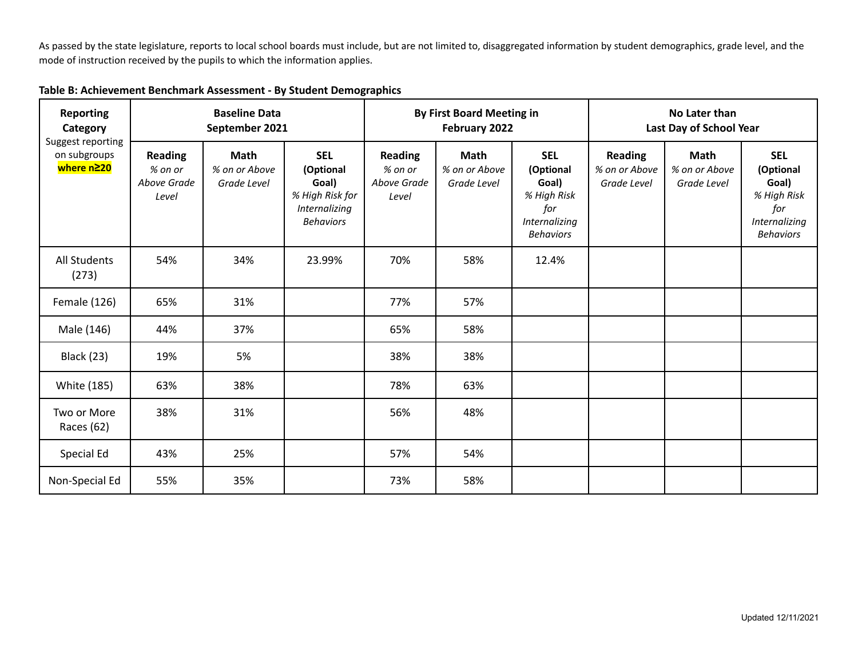As passed by the state legislature, reports to local school boards must include, but are not limited to, disaggregated information by student demographics, grade level, and the mode of instruction received by the pupils to which the information applies.

| <b>Reporting</b><br>Category<br>Suggest reporting<br>on subgroups<br>where n≥20 | <b>Baseline Data</b><br>September 2021            |                                             |                                                                                          | <b>By First Board Meeting in</b><br>February 2022 |                                             |                                                                                             | No Later than<br>Last Day of School Year       |                                             |                                                                                             |
|---------------------------------------------------------------------------------|---------------------------------------------------|---------------------------------------------|------------------------------------------------------------------------------------------|---------------------------------------------------|---------------------------------------------|---------------------------------------------------------------------------------------------|------------------------------------------------|---------------------------------------------|---------------------------------------------------------------------------------------------|
|                                                                                 | <b>Reading</b><br>% on or<br>Above Grade<br>Level | <b>Math</b><br>% on or Above<br>Grade Level | <b>SEL</b><br>(Optional<br>Goal)<br>% High Risk for<br>Internalizing<br><b>Behaviors</b> | <b>Reading</b><br>% on or<br>Above Grade<br>Level | <b>Math</b><br>% on or Above<br>Grade Level | <b>SEL</b><br>(Optional<br>Goal)<br>% High Risk<br>for<br>Internalizing<br><b>Behaviors</b> | <b>Reading</b><br>% on or Above<br>Grade Level | <b>Math</b><br>% on or Above<br>Grade Level | <b>SEL</b><br>(Optional<br>Goal)<br>% High Risk<br>for<br>Internalizing<br><b>Behaviors</b> |
| <b>All Students</b><br>(273)                                                    | 54%                                               | 34%                                         | 23.99%                                                                                   | 70%                                               | 58%                                         | 12.4%                                                                                       |                                                |                                             |                                                                                             |
| Female (126)                                                                    | 65%                                               | 31%                                         |                                                                                          | 77%                                               | 57%                                         |                                                                                             |                                                |                                             |                                                                                             |
| Male (146)                                                                      | 44%                                               | 37%                                         |                                                                                          | 65%                                               | 58%                                         |                                                                                             |                                                |                                             |                                                                                             |
| <b>Black (23)</b>                                                               | 19%                                               | 5%                                          |                                                                                          | 38%                                               | 38%                                         |                                                                                             |                                                |                                             |                                                                                             |
| White (185)                                                                     | 63%                                               | 38%                                         |                                                                                          | 78%                                               | 63%                                         |                                                                                             |                                                |                                             |                                                                                             |
| Two or More<br>Races (62)                                                       | 38%                                               | 31%                                         |                                                                                          | 56%                                               | 48%                                         |                                                                                             |                                                |                                             |                                                                                             |
| Special Ed                                                                      | 43%                                               | 25%                                         |                                                                                          | 57%                                               | 54%                                         |                                                                                             |                                                |                                             |                                                                                             |
| Non-Special Ed                                                                  | 55%                                               | 35%                                         |                                                                                          | 73%                                               | 58%                                         |                                                                                             |                                                |                                             |                                                                                             |

## **Table B: Achievement Benchmark Assessment - By Student Demographics**